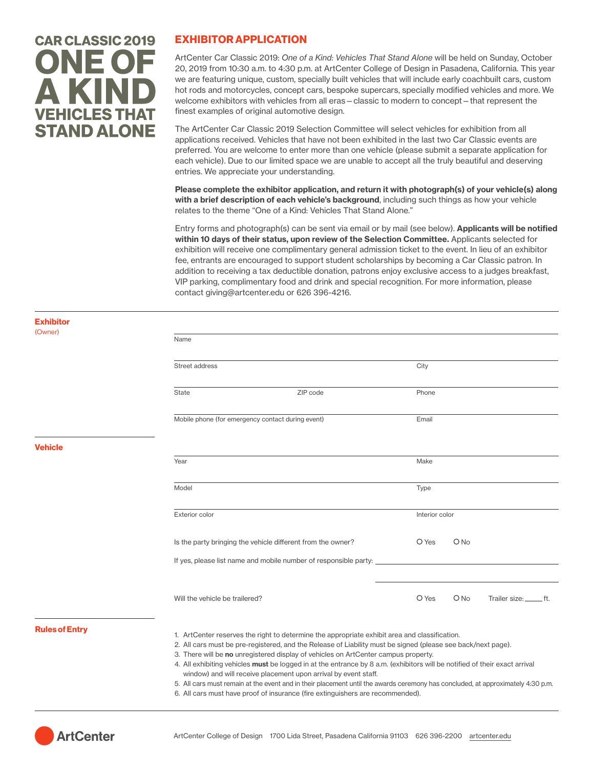# **CAR CLASSIC 2019 ONE OF** A KIND **VEHICLES THAT STAND ALONE**

## EXHIBITOR APPLICATION

ArtCenter Car Classic 2019: *One of a Kind: Vehicles That Stand Alone* will be held on Sunday, October 20, 2019 from 10:30 a.m. to 4:30 p.m. at ArtCenter College of Design in Pasadena, California. This year we are featuring unique, custom, specially built vehicles that will include early coachbuilt cars, custom hot rods and motorcycles, concept cars, bespoke supercars, specially modified vehicles and more. We welcome exhibitors with vehicles from all eras—classic to modern to concept—that represent the finest examples of original automotive design.

The ArtCenter Car Classic 2019 Selection Committee will select vehicles for exhibition from all applications received. Vehicles that have not been exhibited in the last two Car Classic events are preferred. You are welcome to enter more than one vehicle (please submit a separate application for each vehicle). Due to our limited space we are unable to accept all the truly beautiful and deserving entries. We appreciate your understanding.

Please complete the exhibitor application, and return it with photograph(s) of your vehicle(s) along with a brief description of each vehicle's background, including such things as how your vehicle relates to the theme "One of a Kind: Vehicles That Stand Alone."

Entry forms and photograph(s) can be sent via email or by mail (see below). Applicants will be notified within 10 days of their status, upon review of the Selection Committee. Applicants selected for exhibition will receive one complimentary general admission ticket to the event. In lieu of an exhibitor fee, entrants are encouraged to support student scholarships by becoming a Car Classic patron. In addition to receiving a tax deductible donation, patrons enjoy exclusive access to a judges breakfast, VIP parking, complimentary food and drink and special recognition. For more information, please contact giving@artcenter.edu or 626 396-4216.

| <b>Exhibitor</b><br>(Owner) |                                                                  |                                                                                                                                                                                                                                                                                                                                                                                           |       |                                                                                                                                                                                                                                                                                              |                         |  |
|-----------------------------|------------------------------------------------------------------|-------------------------------------------------------------------------------------------------------------------------------------------------------------------------------------------------------------------------------------------------------------------------------------------------------------------------------------------------------------------------------------------|-------|----------------------------------------------------------------------------------------------------------------------------------------------------------------------------------------------------------------------------------------------------------------------------------------------|-------------------------|--|
|                             | Name                                                             |                                                                                                                                                                                                                                                                                                                                                                                           |       |                                                                                                                                                                                                                                                                                              |                         |  |
|                             | Street address                                                   |                                                                                                                                                                                                                                                                                                                                                                                           |       | City                                                                                                                                                                                                                                                                                         |                         |  |
|                             | State                                                            | ZIP code                                                                                                                                                                                                                                                                                                                                                                                  | Phone |                                                                                                                                                                                                                                                                                              |                         |  |
|                             | Mobile phone (for emergency contact during event)                |                                                                                                                                                                                                                                                                                                                                                                                           | Email |                                                                                                                                                                                                                                                                                              |                         |  |
| <b>Vehicle</b>              |                                                                  |                                                                                                                                                                                                                                                                                                                                                                                           |       |                                                                                                                                                                                                                                                                                              |                         |  |
|                             | Year                                                             |                                                                                                                                                                                                                                                                                                                                                                                           | Make  |                                                                                                                                                                                                                                                                                              |                         |  |
|                             | Model                                                            |                                                                                                                                                                                                                                                                                                                                                                                           | Type  |                                                                                                                                                                                                                                                                                              |                         |  |
|                             | <b>Exterior color</b>                                            |                                                                                                                                                                                                                                                                                                                                                                                           |       | Interior color<br>ONO<br>O Yes<br>O Yes<br>ONO<br>2. All cars must be pre-registered, and the Release of Liability must be signed (please see back/next page).<br>4. All exhibiting vehicles must be logged in at the entrance by 8 a.m. (exhibitors will be notified of their exact arrival |                         |  |
|                             | Is the party bringing the vehicle different from the owner?      |                                                                                                                                                                                                                                                                                                                                                                                           |       |                                                                                                                                                                                                                                                                                              |                         |  |
|                             | If yes, please list name and mobile number of responsible party: |                                                                                                                                                                                                                                                                                                                                                                                           |       |                                                                                                                                                                                                                                                                                              |                         |  |
|                             | Will the vehicle be trailered?                                   |                                                                                                                                                                                                                                                                                                                                                                                           |       |                                                                                                                                                                                                                                                                                              | Trailer size: ______ft. |  |
| <b>Rules of Entry</b>       |                                                                  | 1. ArtCenter reserves the right to determine the appropriate exhibit area and classification.<br>3. There will be no unregistered display of vehicles on ArtCenter campus property.<br>window) and will receive placement upon arrival by event staff.<br>5. All cars must remain at the event and in their placement until the awards ceremony has concluded, at approximately 4:30 p.m. |       |                                                                                                                                                                                                                                                                                              |                         |  |

6. All cars must have proof of insurance (fire extinguishers are recommended).